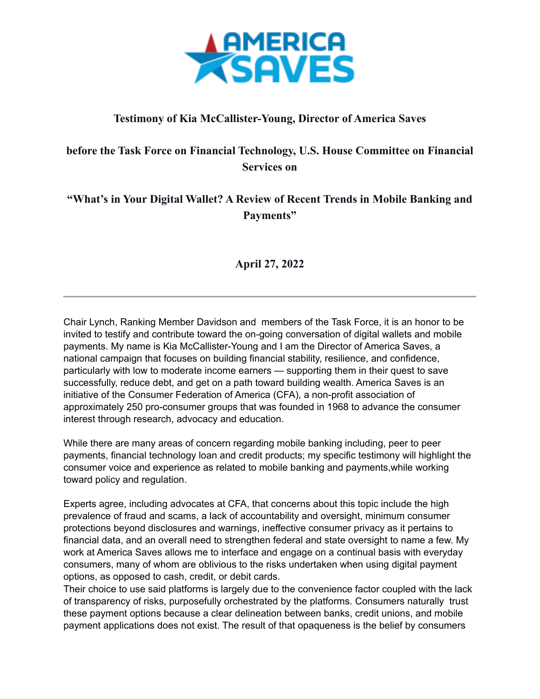

## **Testimony of Kia McCallister-Young, Director of America Saves**

## **before the Task Force on Financial Technology, U.S. House Committee on Financial Services on**

## **"What's in Your Digital Wallet? A Review of Recent Trends in Mobile Banking and Payments"**

## **April 27, 2022**

Chair Lynch, Ranking Member Davidson and members of the Task Force, it is an honor to be invited to testify and contribute toward the on-going conversation of digital wallets and mobile payments. My name is Kia McCallister-Young and I am the Director of America Saves, a national campaign that focuses on building financial stability, resilience, and confidence, particularly with low to moderate income earners — supporting them in their quest to save successfully, reduce debt, and get on a path toward building wealth. America Saves is an initiative of the Consumer Federation of America (CFA), a non-profit association of approximately 250 pro-consumer groups that was founded in 1968 to advance the consumer interest through research, advocacy and education.

While there are many areas of concern regarding mobile banking including, peer to peer payments, financial technology loan and credit products; my specific testimony will highlight the consumer voice and experience as related to mobile banking and payments,while working toward policy and regulation.

Experts agree, including advocates at CFA, that concerns about this topic include the high prevalence of fraud and scams, a lack of accountability and oversight, minimum consumer protections beyond disclosures and warnings, ineffective consumer privacy as it pertains to financial data, and an overall need to strengthen federal and state oversight to name a few. My work at America Saves allows me to interface and engage on a continual basis with everyday consumers, many of whom are oblivious to the risks undertaken when using digital payment options, as opposed to cash, credit, or debit cards.

Their choice to use said platforms is largely due to the convenience factor coupled with the lack of transparency of risks, purposefully orchestrated by the platforms. Consumers naturally trust these payment options because a clear delineation between banks, credit unions, and mobile payment applications does not exist. The result of that opaqueness is the belief by consumers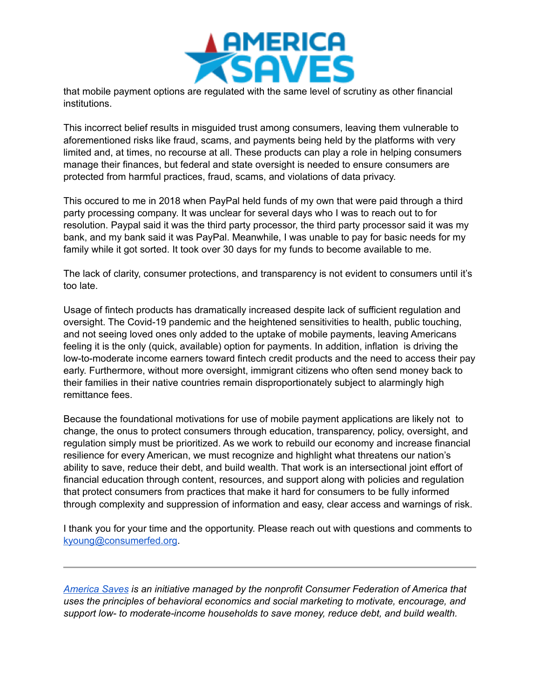

that mobile payment options are regulated with the same level of scrutiny as other financial institutions.

This incorrect belief results in misguided trust among consumers, leaving them vulnerable to aforementioned risks like fraud, scams, and payments being held by the platforms with very limited and, at times, no recourse at all. These products can play a role in helping consumers manage their finances, but federal and state oversight is needed to ensure consumers are protected from harmful practices, fraud, scams, and violations of data privacy.

This occured to me in 2018 when PayPal held funds of my own that were paid through a third party processing company. It was unclear for several days who I was to reach out to for resolution. Paypal said it was the third party processor, the third party processor said it was my bank, and my bank said it was PayPal. Meanwhile, I was unable to pay for basic needs for my family while it got sorted. It took over 30 days for my funds to become available to me.

The lack of clarity, consumer protections, and transparency is not evident to consumers until it's too late.

Usage of fintech products has dramatically increased despite lack of sufficient regulation and oversight. The Covid-19 pandemic and the heightened sensitivities to health, public touching, and not seeing loved ones only added to the uptake of mobile payments, leaving Americans feeling it is the only (quick, available) option for payments. In addition, inflation is driving the low-to-moderate income earners toward fintech credit products and the need to access their pay early. Furthermore, without more oversight, immigrant citizens who often send money back to their families in their native countries remain disproportionately subject to alarmingly high remittance fees.

Because the foundational motivations for use of mobile payment applications are likely not to change, the onus to protect consumers through education, transparency, policy, oversight, and regulation simply must be prioritized. As we work to rebuild our economy and increase financial resilience for every American, we must recognize and highlight what threatens our nation's ability to save, reduce their debt, and build wealth. That work is an intersectional joint effort of financial education through content, resources, and support along with policies and regulation that protect consumers from practices that make it hard for consumers to be fully informed through complexity and suppression of information and easy, clear access and warnings of risk.

I thank you for your time and the opportunity. Please reach out with questions and comments to [kyoung@consumerfed.org](mailto:kyoung@consumerfed.org).

*[America Saves](https://americasaves.org/about-us/) is an initiative managed by the nonprofit Consumer Federation of America that uses the principles of behavioral economics and social marketing to motivate, encourage, and support low- to moderate-income households to save money, reduce debt, and build wealth.*